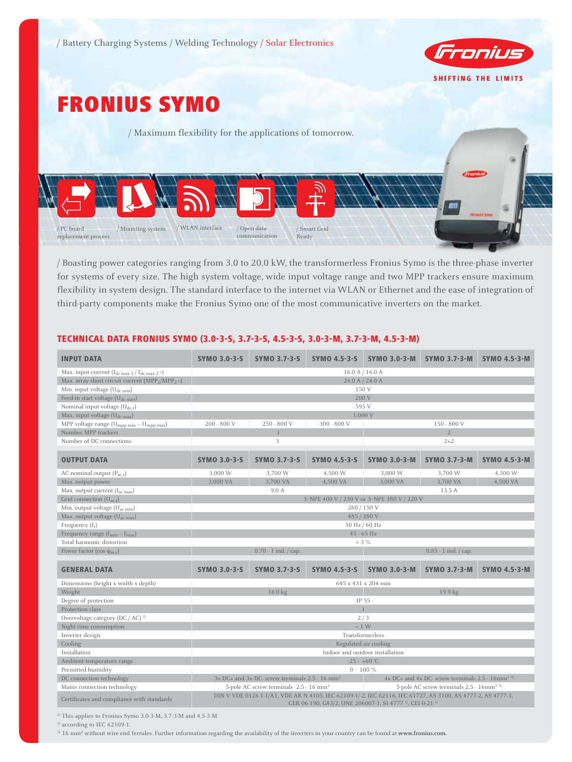

# Fronius Symo

/ Maximum flexibility for the applications of tomorrow.



/ Boasting power categories ranging from 3.0 to 20.0 kW, the transformerless Fronius Symo is the three-phase inverter for systems of every size. The high system voltage, wide input voltage range and two MPP trackers ensure maximum flexibility in system design. The standard interface to the internet via WLAN or Ethernet and the ease of integration of third-party components make the Fronius Symo one of the most communicative inverters on the market.

| <b>INPUT DATA</b>                                                                   | <b>SYMO 3.0-3-S</b>                                                                                                                | <b>SYMO 3.7-3-S</b>                                                                                                                                                                           | <b>SYMO 4.5-3-S</b>                        | <b>SYMO 3.0-3-M</b> | <b>SYMO 3.7-3-M</b>    | <b>SYMO 4.5-3-M</b> |  |
|-------------------------------------------------------------------------------------|------------------------------------------------------------------------------------------------------------------------------------|-----------------------------------------------------------------------------------------------------------------------------------------------------------------------------------------------|--------------------------------------------|---------------------|------------------------|---------------------|--|
| Max. input current $(I_{dc \max 1}/I_{dc \max 2})$                                  |                                                                                                                                    |                                                                                                                                                                                               | 16.0 A / 16.0 A                            |                     |                        |                     |  |
| Max. array short circuit current (MPP <sub>1</sub> /MPP <sub>2<sup>1)</sup></sub> ) |                                                                                                                                    | 24.0 A / 24.0 A                                                                                                                                                                               |                                            |                     |                        |                     |  |
| Min. input voltage $(U_{dc,min})$                                                   |                                                                                                                                    | 150 V                                                                                                                                                                                         |                                            |                     |                        |                     |  |
| Feed-in start voltage (U <sub>dc start</sub> )                                      |                                                                                                                                    | 200 V                                                                                                                                                                                         |                                            |                     |                        |                     |  |
| Nominal input voltage $(U_{dc,r})$                                                  |                                                                                                                                    | 595 V                                                                                                                                                                                         |                                            |                     |                        |                     |  |
| Max. input voltage (U <sub>dc max</sub> )                                           |                                                                                                                                    |                                                                                                                                                                                               |                                            | 1,000 V             |                        |                     |  |
| MPP voltage range $(U_{mpp\ min} - U_{mpp\ max})$                                   | $200 - 800$ V                                                                                                                      | 250 - 800 V                                                                                                                                                                                   | $300 - 800 V$                              |                     | $150 - 800 V$          |                     |  |
| Number MPP trackers                                                                 |                                                                                                                                    | $\overline{1}$                                                                                                                                                                                |                                            |                     | $\overline{2}$         |                     |  |
| Number of DC connections                                                            |                                                                                                                                    | 3                                                                                                                                                                                             |                                            |                     | $2 + 2$                |                     |  |
|                                                                                     |                                                                                                                                    |                                                                                                                                                                                               |                                            |                     |                        |                     |  |
| <b>OUTPUT DATA</b>                                                                  | <b>SYMO 3.0-3-S</b>                                                                                                                | <b>SYMO 3.7-3-S</b>                                                                                                                                                                           | <b>SYMO 4.5-3-S</b>                        | <b>SYMO 3.0-3-M</b> | <b>SYMO 3.7-3-M</b>    | <b>SYMO 4.5-3-M</b> |  |
| AC nominal output $(P_{ac,r})$                                                      | 3,000 W                                                                                                                            | 3,700 W                                                                                                                                                                                       | 4,500 W                                    | 3,000 W             | 3,700 W                | 4,500 W             |  |
| Max. output power                                                                   | 3,000 VA                                                                                                                           | 3,700 VA                                                                                                                                                                                      | 4,500 VA                                   | 3,000 VA            | 3,700 VA               | 4,500 VA            |  |
| Max. output current $(I_{ac max})$                                                  |                                                                                                                                    | 9.0 A                                                                                                                                                                                         |                                            |                     | 13.5 A                 |                     |  |
| Grid connection $(U_{ac.r})$                                                        |                                                                                                                                    |                                                                                                                                                                                               | 3~NPE 400 V / 230 V or 3~NPE 380 V / 220 V |                     |                        |                     |  |
| Min. output voltage (U <sub>ac min</sub> )                                          |                                                                                                                                    |                                                                                                                                                                                               | 260/150V                                   |                     |                        |                     |  |
| Max. output voltage (U <sub>ac max</sub> )                                          |                                                                                                                                    |                                                                                                                                                                                               | 485 / 280 V                                |                     |                        |                     |  |
| Frequency $(f_r)$                                                                   |                                                                                                                                    |                                                                                                                                                                                               | 50 Hz / 60 Hz                              |                     |                        |                     |  |
| Frequency range $(f_{min} - f_{max})$                                               |                                                                                                                                    |                                                                                                                                                                                               | $45 - 65$ Hz                               |                     |                        |                     |  |
| Total harmonic distortion                                                           |                                                                                                                                    |                                                                                                                                                                                               | $< 3 \%$                                   |                     |                        |                     |  |
| Power factor (cos $\varphi_{ac,r}$ )                                                |                                                                                                                                    | $0.70 - 1$ ind. $\frac{1}{2}$ cap.                                                                                                                                                            |                                            |                     | $0.85 - 1$ ind. / cap. |                     |  |
|                                                                                     |                                                                                                                                    |                                                                                                                                                                                               |                                            |                     |                        |                     |  |
| <b>GENERAL DATA</b>                                                                 | <b>SYMO 3.0-3-S</b>                                                                                                                | <b>SYMO 3.7-3-S</b>                                                                                                                                                                           | <b>SYMO 4.5-3-S</b>                        | <b>SYMO 3.0-3-M</b> | <b>SYMO 3.7-3-M</b>    | <b>SYMO 4.5-3-M</b> |  |
| Dimensions (height x width x depth)                                                 |                                                                                                                                    |                                                                                                                                                                                               | 645 x 431 x 204 mm                         |                     |                        |                     |  |
| Weight                                                                              |                                                                                                                                    | 16.0 kg                                                                                                                                                                                       |                                            |                     | 19.9 kg                |                     |  |
| Degree of protection                                                                |                                                                                                                                    |                                                                                                                                                                                               | IP 55                                      |                     |                        |                     |  |
| Protection class                                                                    |                                                                                                                                    |                                                                                                                                                                                               | $\mathbf{1}$                               |                     |                        |                     |  |
| Overvoltage category (DC / AC) <sup>2)</sup>                                        |                                                                                                                                    |                                                                                                                                                                                               | 2/3                                        |                     |                        |                     |  |
| Night time consumption                                                              |                                                                                                                                    |                                                                                                                                                                                               | $\leq 1$ W                                 |                     |                        |                     |  |
| Inverter design                                                                     | Transformerless                                                                                                                    |                                                                                                                                                                                               |                                            |                     |                        |                     |  |
| Cooling                                                                             | Regulated air cooling                                                                                                              |                                                                                                                                                                                               |                                            |                     |                        |                     |  |
| Installation                                                                        | Indoor and outdoor installation                                                                                                    |                                                                                                                                                                                               |                                            |                     |                        |                     |  |
| Ambient temperature range                                                           | $-25 - +60$ °C                                                                                                                     |                                                                                                                                                                                               |                                            |                     |                        |                     |  |
| Permitted humidity                                                                  | $0 - 100 \%$                                                                                                                       |                                                                                                                                                                                               |                                            |                     |                        |                     |  |
| DC connection technology                                                            | $3x$ DC+ and $3x$ DC- screw terminals 2.5 - 16 mm <sup>2</sup><br>$4x$ DC+ and $4x$ DC- screw terminals 2.5 - 16mm <sup>2 3)</sup> |                                                                                                                                                                                               |                                            |                     |                        |                     |  |
| Mains connection technology                                                         | 5-pole AC screw terminals 2.5 - 16mm <sup>2 3)</sup><br>5-pole AC screw terminals 2.5 - 16 mm <sup>2</sup>                         |                                                                                                                                                                                               |                                            |                     |                        |                     |  |
| Certificates and compliance with standards                                          |                                                                                                                                    | DIN V VDE 0126-1-1/A1, VDE AR N 4105, IEC 62109-1/-2, IEC 62116, IEC 61727, AS 3100, AS 4777-2, AS 4777-3,<br>CER 06-190, G83/2, UNE 206007-1, SI 4777 <sup>1)</sup> , CEI 0-21 <sup>1)</sup> |                                            |                     |                        |                     |  |

### TECHNICAL DATA FRONIUS SYMO (3.0-3-S, 3.7-3-S, 4.5-3-S, 3.0-3-M, 3.7-3-M, 4.5-3-M)

<sup>1)</sup> This applies to Fronius Symo 3.0-3-M, 3.7-3-M and 4.5-3-M

 $^{2)}$  according to IEC 62109-1.

3) 16 mm² without wire end ferrules. Further information regarding the availability of the inverters in your country can be found at **www.fronius.com.**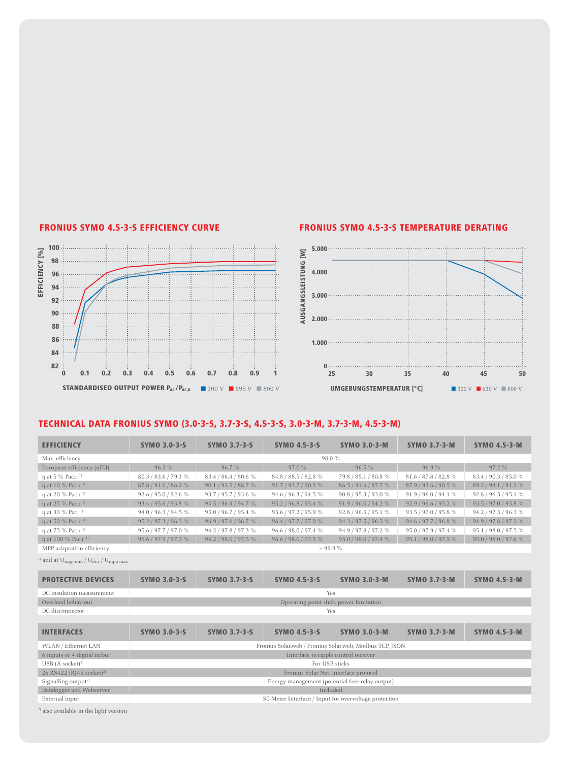

## fronius SYMO 4.5-3-S EFFICIENCY CURVE fronius SYMO 4.5-3-S TEMPERATURE DERATING

#### TECHNICAL DATA fronius SYMO (3.0-3-S, 3.7-3-S, 4.5-3-S, 3.0-3-M, 3.7-3-M, 4.5-3-M)

| <b>EFFICIENCY</b>                                           | <b>SYMO 3.0-3-S</b>  | <b>SYMO 3.7-3-S</b>  | <b>SYMO 4.5-3-S</b>  | <b>SYMO 3.0-3-M</b>  | <b>SYMO 3.7-3-M</b>  | <b>SYMO 4.5-3-M</b>  |
|-------------------------------------------------------------|----------------------|----------------------|----------------------|----------------------|----------------------|----------------------|
|                                                             |                      |                      |                      |                      |                      |                      |
| Max. efficiency                                             |                      |                      |                      | 98.0 %               |                      |                      |
| European efficiency (nEU)                                   | 96.2%                | 96.7%                | 97.0%                | 96.5%                | 96.9%                | 97.2%                |
| η at 5 % Pac.r <sup>1</sup>                                 | 80.3 / 83.6 / 79.1 % | 83.4 / 86.4 / 80.6 % | 84.8 / 88.5 / 82.8 % | 79.8 / 85.1 / 80.8 % | 81.6 / 87.8 / 82.8 % | 83.4 / 90.3 / 85.0 % |
| $\eta$ at 10 % Pac.r <sup>1)</sup>                          | 87.8 / 91.0 / 86.2 % | 90.1 / 92.5 / 88.7 % | 91.7 / 93.7 / 90.3 % | 86.5 / 91.6 / 87.7 % | 87.9 / 93.6 / 90.5 % | 89.2 / 94.1 / 91.2 % |
| n at 20 % Pac.r <sup>1</sup>                                | 92.6 / 95.0 / 92.6 % | 93.7 / 95.7 / 93.6 % | 94.6 / 96.3 / 94.5 % | 90.8 / 95.3 / 93.0 % | 91.9 / 96.0 / 94.1 % | 92.8 / 96.5 / 95.1 % |
| $\eta$ at 25 % Pac.r <sup>1</sup>                           | 93.4 / 95.6 / 93.8 % | 94.5 / 96.4 / 94.7 % | 95.2 / 96.8 / 95.4 % | 91.9 / 96.0 / 94.2 % | 92.9 / 96.6 / 95.2 % | 93.5 / 97.0 / 95.8 % |
| n at 30 % Pac. 1)                                           | 94.0 / 96.3 / 94.5 % | 95.0 / 96.7 / 95.4 % | 95.6 / 97.2 / 95.9 % | 92.8 / 96.5 / 95.1 % | 93.5 / 97.0 / 95.8 % | 94.2 / 97.3 / 96.3 % |
| $\eta$ at 50 % Pac.r <sup>1)</sup>                          | 95.2 / 97.3 / 96.3 % | 96.9 / 97.6 / 96.7 % | 96.4 / 97.7 / 97.0 % | 94.3 / 97.5 / 96.5 % | 94.6 / 97.7 / 96.8 % | 94.9 / 97.8 / 97.2 % |
| n at 75 % Pac.r <sup>1</sup>                                | 95.6 / 97.7 / 97.0 % | 96.2 / 97.8 / 97.3 % | 96.6 / 98.0 / 97.4 % | 94.9 / 97.8 / 97.2 % | 95.0 / 97.9 / 97.4 % | 95.1 / 98.0 / 97.5 % |
| $\eta$ at 100 % Pac.r <sup>1)</sup>                         | 95.6 / 97.9 / 97.3 % | 96.2 / 98.0 / 97.5 % | 96.6 / 98.0 / 97.5 % | 95.0 / 98.0 / 97.4 % | 95.1 / 98.0 / 97.5 % | 95.0 / 98.0 / 97.6 % |
| MPP adaptation efficiency                                   |                      |                      |                      | $> 99.9\%$           |                      |                      |
| <sup>1)</sup> and at $U_{mpp min} / U_{dc.r} / U_{mpp max}$ |                      |                      |                      |                      |                      |                      |
|                                                             |                      |                      |                      |                      |                      |                      |
|                                                             |                      |                      |                      |                      |                      |                      |

| <b>PROTECTIVE DEVICES</b>              | <b>SYMO 3.0-3-S</b>                                     | <b>SYMO 3.7-3-S</b> | <b>SYMO 4.5-3-S</b> | <b>SYMO 3.0-3-M</b>                                   | <b>SYMO 3.7-3-M</b> | <b>SYMO 4.5-3-M</b> |  |
|----------------------------------------|---------------------------------------------------------|---------------------|---------------------|-------------------------------------------------------|---------------------|---------------------|--|
| DC insulation measurement              | Yes                                                     |                     |                     |                                                       |                     |                     |  |
| Overload behaviour                     |                                                         |                     |                     | Operating point shift. power limitation               |                     |                     |  |
| DC disconnector                        |                                                         |                     |                     | Yes                                                   |                     |                     |  |
|                                        |                                                         |                     |                     |                                                       |                     |                     |  |
| <b>INTERFACES</b>                      | <b>SYMO 3.0-3-S</b>                                     | <b>SYMO 3.7-3-S</b> | <b>SYMO 4.5-3-S</b> | <b>SYMO 3.0-3-M</b>                                   | <b>SYMO 3.7-3-M</b> | <b>SYMO 4.5-3-M</b> |  |
| WLAN / Ethernet LAN                    | Fronius Solar.web / Fronius Solar.web, Modbus TCP, JSON |                     |                     |                                                       |                     |                     |  |
| 6 inputs or 4 digital in/out           | Interface to ripple control receiver                    |                     |                     |                                                       |                     |                     |  |
| USB $(A \text{ socket})^2$             |                                                         | For USB sticks      |                     |                                                       |                     |                     |  |
| $2x$ RS422 (RJ45 socket) <sup>2)</sup> | Fronius Solar Net. interface protocol                   |                     |                     |                                                       |                     |                     |  |
| Signalling output <sup>2)</sup>        | Energy management (potential-free relay output)         |                     |                     |                                                       |                     |                     |  |
| Datalogger and Webserver               | Included                                                |                     |                     |                                                       |                     |                     |  |
| External input                         |                                                         |                     |                     | S0-Meter Interface / Input for overvoltage protection |                     |                     |  |

 $^{\rm 2)}$  also available in the light version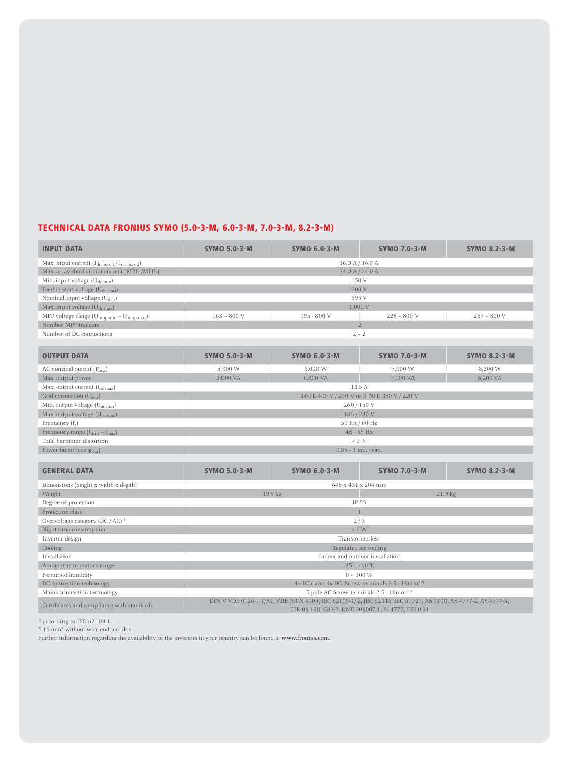# TECHNICAL DATA FRONIUS SYMO (5.0-3-M, 6.0-3-M, 7.0-3-M, 8.2-3-M)

| <b>INPUT DATA</b>                                                      | <b>SYMO 5.0-3-M</b>                                         | <b>SYMO 6.0-3-M</b>                                                                                                                                              | <b>SYMO 7.0-3-M</b> | <b>SYMO 8.2-3-M</b> |  |  |
|------------------------------------------------------------------------|-------------------------------------------------------------|------------------------------------------------------------------------------------------------------------------------------------------------------------------|---------------------|---------------------|--|--|
| Max. input current $(I_{dc \max 1}/I_{dc \max 2})$                     |                                                             | 16.0 A / 16.0 A                                                                                                                                                  |                     |                     |  |  |
| Max. array short circuit current (MPP <sub>1</sub> /MPP <sub>2</sub> ) | 24.0 A / 24.0 A                                             |                                                                                                                                                                  |                     |                     |  |  |
| Min. input voltage $(U_{dc,min})$                                      |                                                             | 150 V                                                                                                                                                            |                     |                     |  |  |
| Feed-in start voltage (U <sub>dc start</sub> )                         |                                                             | 200 V                                                                                                                                                            |                     |                     |  |  |
| Nominal input voltage $(U_{dc,r})$                                     |                                                             | 595 V                                                                                                                                                            |                     |                     |  |  |
| Max. input voltage $(U_{dc max})$                                      |                                                             | 1,000 V                                                                                                                                                          |                     |                     |  |  |
| MPP voltage range $(U_{mpp \ min} - U_{mpp \ max})$                    | $163 - 800$ V                                               | 195 - 800 V                                                                                                                                                      | $228 - 800$ V       | $267 - 800$ V       |  |  |
| Number MPP trackers                                                    |                                                             |                                                                                                                                                                  | $\overline{2}$      |                     |  |  |
| Number of DC connections                                               |                                                             | $2 + 2$                                                                                                                                                          |                     |                     |  |  |
|                                                                        |                                                             |                                                                                                                                                                  |                     |                     |  |  |
| <b>OUTPUT DATA</b>                                                     | <b>SYMO 5.0-3-M</b>                                         | <b>SYMO 6.0-3-M</b>                                                                                                                                              | <b>SYMO 7.0-3-M</b> | <b>SYMO 8.2-3-M</b> |  |  |
| AC nominal output $(P_{ac,r})$                                         | 5.000 W                                                     | 6,000 W                                                                                                                                                          | 7,000 W             | 8,200 W             |  |  |
| Max. output power                                                      | 5,000 VA                                                    | 6,000 VA                                                                                                                                                         | 7,000 VA            | 8,200 VA            |  |  |
| Max. output current (I <sub>ac max</sub> )                             |                                                             | 13.5 A                                                                                                                                                           |                     |                     |  |  |
| Grid connection $(U_{ac,r})$                                           | 3-NPE 400 V / 230 V or 3~NPE 380 V / 220 V                  |                                                                                                                                                                  |                     |                     |  |  |
| Min. output voltage $(U_{ac,min})$                                     |                                                             | 260/150V                                                                                                                                                         |                     |                     |  |  |
| Max. output voltage $(U_{ac max})$                                     |                                                             | 485 / 280 V                                                                                                                                                      |                     |                     |  |  |
| Frequency $(f_r)$                                                      |                                                             | 50 Hz / 60 Hz                                                                                                                                                    |                     |                     |  |  |
| Frequency range $(f_{min} - f_{max})$                                  |                                                             | $45 - 65$ Hz                                                                                                                                                     |                     |                     |  |  |
| Total harmonic distortion                                              |                                                             | $< 3 \%$                                                                                                                                                         |                     |                     |  |  |
| Power factor (cos $\varphi_{ac,r}$ )                                   |                                                             | $0.85 - 1$ ind. / cap.                                                                                                                                           |                     |                     |  |  |
|                                                                        |                                                             |                                                                                                                                                                  |                     |                     |  |  |
| <b>GENERAL DATA</b>                                                    | <b>SYMO 5.0-3-M</b>                                         | <b>SYMO 6.0-3-M</b>                                                                                                                                              | <b>SYMO 7.0-3-M</b> | <b>SYMO 8.2-3-M</b> |  |  |
| Dimensions (height x width x depth)                                    |                                                             | 645 x 431 x 204 mm                                                                                                                                               |                     |                     |  |  |
| Weight                                                                 |                                                             | 19.9 kg                                                                                                                                                          | 21.9 kg             |                     |  |  |
| Degree of protection                                                   |                                                             | IP 55                                                                                                                                                            |                     |                     |  |  |
| Protection class                                                       |                                                             |                                                                                                                                                                  |                     |                     |  |  |
| Overvoltage category (DC / AC) <sup>1)</sup>                           | 2/3                                                         |                                                                                                                                                                  |                     |                     |  |  |
| Night time consumption                                                 | < 1 W                                                       |                                                                                                                                                                  |                     |                     |  |  |
| Inverter design                                                        | Transformerless                                             |                                                                                                                                                                  |                     |                     |  |  |
| Cooling                                                                | Regulated air cooling                                       |                                                                                                                                                                  |                     |                     |  |  |
| Installation                                                           | Indoor and outdoor installation                             |                                                                                                                                                                  |                     |                     |  |  |
| Ambient temperature range                                              | $-25 - +60$ °C                                              |                                                                                                                                                                  |                     |                     |  |  |
| Permitted humidity                                                     |                                                             | $0 - 100 \%$                                                                                                                                                     |                     |                     |  |  |
| DC connection technology                                               | 4x DC+ and 4x DC- Screw terminals 2.5 - 16mm <sup>22)</sup> |                                                                                                                                                                  |                     |                     |  |  |
| Mains connection technology                                            | 5-pole AC Screw terminals 2.5 - 16mm <sup>22)</sup>         |                                                                                                                                                                  |                     |                     |  |  |
| Certificates and compliance with standards                             |                                                             | DIN V VDE 0126-1-1/A1, VDE AR N 4105, IEC 62109-1/-2, IEC 62116, IEC 61727, AS 3100, AS 4777-2, AS 4777-3,<br>CER 06-190, G83/2, UNE 206007-1, SI 4777, CEI 0-21 |                     |                     |  |  |

<sup>1)</sup> according to IEC 62109-1.

2) 16 mm² without wire end ferrules

Further information regarding the availability of the inverters in your country can be found at **www.fronius.com**.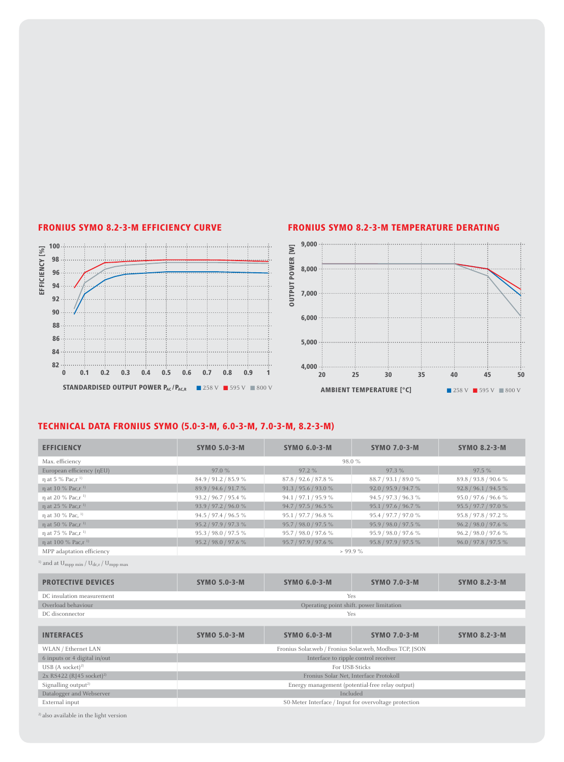

#### FRONIUS SYMO 8.2-3-M EFFICIENCY CURVE FRONIUS SYMO 8.2-3-M TEMPERATURE DERATING



### TECHNICAL DATA FRONIUS SYMO (5.0-3-M, 6.0-3-M, 7.0-3-M, 8.2-3-M)

| <b>EFFICIENCY</b>                         | <b>SYMO 5.0-3-M</b>                                   | <b>SYMO 6.0-3-M</b>                                     | <b>SYMO 7.0-3-M</b>  | <b>SYMO 8.2-3-M</b>  |  |  |
|-------------------------------------------|-------------------------------------------------------|---------------------------------------------------------|----------------------|----------------------|--|--|
| Max. efficiency                           | 98.0%                                                 |                                                         |                      |                      |  |  |
| European efficiency (nEU)                 | 97.0%                                                 | 97.2%                                                   | 97.3%                | 97.5 %               |  |  |
| $\eta$ at 5 % Pac, $r^{-1}$               | 84.9 / 91.2 / 85.9 %                                  | 87.8 / 92.6 / 87.8 %                                    | 88.7 / 93.1 / 89.0 % | 89.8 / 93.8 / 90.6 % |  |  |
| η at 10 % Pac, r <sup>1)</sup>            | 89.9 / 94.6 / 91.7 %                                  | 91.3 / 95.6 / 93.0 %                                    | 92.0 / 95.9 / 94.7 % | 92.8 / 96.1 / 94.5 % |  |  |
| n at 20 % Pac, r <sup>1)</sup>            | 93.2 / 96.7 / 95.4 %                                  | 94.1 / 97.1 / 95.9 %                                    | 94.5 / 97.3 / 96.3 % | 95.0 / 97.6 / 96.6 % |  |  |
| η at 25 % Pac, r <sup>1)</sup>            | 93.9 / 97.2 / 96.0 %                                  | 94.7 / 97.5 / 96.5 %                                    | 95.1 / 97.6 / 96.7 % | 95.5 / 97.7 / 97.0 % |  |  |
| n at 30 % Pac, <sup>1)</sup>              | 94.5 / 97.4 / 96.5 %                                  | 95.1 / 97.7 / 96.8 %                                    | 95.4 / 97.7 / 97.0 % | 95.8 / 97.8 / 97.2 % |  |  |
| n at 50 % Pac, r <sup>1)</sup>            | 95.2 / 97.9 / 97.3 %                                  | 95.7 / 98.0 / 97.5 %                                    | 95.9 / 98.0 / 97.5 % | 96.2 / 98.0 / 97.6 % |  |  |
| n at 75 % Pac, r <sup>1)</sup>            | 95.3 / 98.0 / 97.5 %                                  | 95.7 / 98.0 / 97.6 %                                    | 95.9 / 98.0 / 97.6 % | 96.2 / 98.0 / 97.6 % |  |  |
| n at 100 % Pac, r <sup>1)</sup>           | 95.2 / 98.0 / 97.6 %                                  | 95.7 / 97.9 / 97.6 %                                    | 95.8 / 97.9 / 97.5 % | 96.0 / 97.8 / 97.5 % |  |  |
| MPP adaptation efficiency                 |                                                       | $> 99.9\%$                                              |                      |                      |  |  |
| and at $U_{mpp,min}/U_{dc,r}/U_{mpp,max}$ |                                                       |                                                         |                      |                      |  |  |
| <b>PROTECTIVE DEVICES</b>                 | <b>SYMO 5.0-3-M</b>                                   | <b>SYMO 6.0-3-M</b>                                     | <b>SYMO 7.0-3-M</b>  | <b>SYMO 8.2-3-M</b>  |  |  |
| DC insulation measurement                 |                                                       | Yes                                                     |                      |                      |  |  |
| Overload behaviour                        |                                                       | Operating point shift. power limitation                 |                      |                      |  |  |
| DC disconnector                           |                                                       | Yes                                                     |                      |                      |  |  |
|                                           |                                                       |                                                         |                      |                      |  |  |
| <b>INTERFACES</b>                         | <b>SYMO 5.0-3-M</b>                                   | <b>SYMO 6.0-3-M</b>                                     | <b>SYMO 7.0-3-M</b>  | <b>SYMO 8.2-3-M</b>  |  |  |
| WLAN / Ethernet LAN                       |                                                       | Fronius Solar.web / Fronius Solar.web, Modbus TCP, JSON |                      |                      |  |  |
| 6 inputs or 4 digital in/out              | Interface to ripple control receiver                  |                                                         |                      |                      |  |  |
| USB $(A \text{ socket})^{2}$              | For USB-Sticks                                        |                                                         |                      |                      |  |  |
| $2x$ RS422 (RJ45 socket) <sup>2)</sup>    | Fronius Solar Net, Interface Protokoll                |                                                         |                      |                      |  |  |
| Signalling output <sup>2)</sup>           | Energy management (potential-free relay output)       |                                                         |                      |                      |  |  |
| Datalogger and Webserver                  | Included                                              |                                                         |                      |                      |  |  |
| External input                            | S0-Meter Interface / Input for overvoltage protection |                                                         |                      |                      |  |  |

 $^{\rm 2)}$  also available in the light version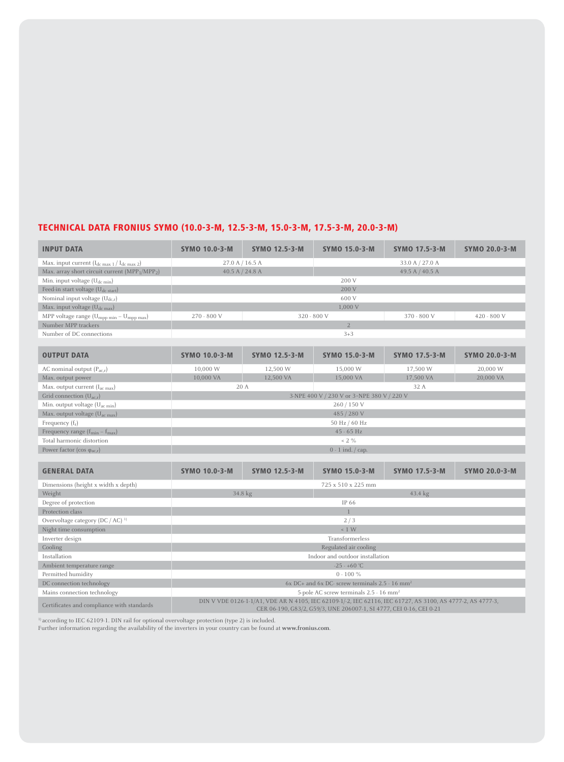# TECHNICAL DATA FRONIUS SYMO (10.0-3-M, 12.5-3-M, 15.0-3-M, 17.5-3-M, 20.0-3-M)

| <b>INPUT DATA</b>                                                      | <b>SYMO 10.0-3-M</b>                                                                                                                                                              | <b>SYMO 12.5-3-M</b> | <b>SYMO 15.0-3-M</b>                       | <b>SYMO 17.5-3-M</b> | <b>SYMO 20.0-3-M</b> |  |
|------------------------------------------------------------------------|-----------------------------------------------------------------------------------------------------------------------------------------------------------------------------------|----------------------|--------------------------------------------|----------------------|----------------------|--|
| Max. input current (I <sub>dc max 1</sub> / I <sub>dc max 2</sub> )    | 27.0 A / 16.5 A                                                                                                                                                                   |                      |                                            | 33.0 A / 27.0 A      |                      |  |
| Max. array short circuit current (MPP <sub>1</sub> /MPP <sub>2</sub> ) | 40.5 A / 24.8 A<br>49.5 A / 40.5 A                                                                                                                                                |                      |                                            |                      |                      |  |
| Min. input voltage (U <sub>dc min</sub> )                              |                                                                                                                                                                                   |                      | 200 V                                      |                      |                      |  |
| Feed-in start voltage (U <sub>dc start</sub> )                         |                                                                                                                                                                                   |                      | 200 V                                      |                      |                      |  |
| Nominal input voltage $(U_{dc,r})$                                     |                                                                                                                                                                                   |                      | 600 V                                      |                      |                      |  |
| Max. input voltage $(U_{dc\ max})$                                     |                                                                                                                                                                                   |                      | 1,000 V                                    |                      |                      |  |
| MPP voltage range $(U_{mpp\ min} - U_{mpp\ max})$                      | 270 - 800 V                                                                                                                                                                       |                      | 320 - 800 V                                | 370 - 800 V          | $420 - 800V$         |  |
| Number MPP trackers                                                    |                                                                                                                                                                                   |                      | $\overline{2}$                             |                      |                      |  |
| Number of DC connections                                               |                                                                                                                                                                                   |                      | $3 + 3$                                    |                      |                      |  |
|                                                                        |                                                                                                                                                                                   |                      |                                            |                      |                      |  |
| <b>OUTPUT DATA</b>                                                     | <b>SYMO 10.0-3-M</b>                                                                                                                                                              | <b>SYMO 12.5-3-M</b> | <b>SYMO 15.0-3-M</b>                       | <b>SYMO 17.5-3-M</b> | <b>SYMO 20.0-3-M</b> |  |
| AC nominal output $(P_{ac,r})$                                         | 10,000 W                                                                                                                                                                          | 12,500 W             | 15,000 W                                   | 17,500 W             | 20,000 W             |  |
| Max. output power                                                      | 10,000 VA                                                                                                                                                                         | 12,500 VA            | 15,000 VA                                  | 17,500 VA            | 20,000 VA            |  |
| Max. output current (I <sub>ac max</sub> )                             | 20 A                                                                                                                                                                              |                      |                                            | 32 A                 |                      |  |
| Grid connection $(U_{ac.r})$                                           |                                                                                                                                                                                   |                      | 3-NPE 400 V / 230 V or 3~NPE 380 V / 220 V |                      |                      |  |
| Min. output voltage $(U_{ac,min})$                                     | 260 / 150 V                                                                                                                                                                       |                      |                                            |                      |                      |  |
| Max. output voltage $(U_{ac max})$                                     | 485 / 280 V                                                                                                                                                                       |                      |                                            |                      |                      |  |
| Frequency $(f_r)$                                                      | 50 Hz / 60 Hz                                                                                                                                                                     |                      |                                            |                      |                      |  |
| Frequency range $(f_{min} - f_{max})$                                  |                                                                                                                                                                                   |                      | 45 - 65 Hz                                 |                      |                      |  |
| Total harmonic distortion                                              |                                                                                                                                                                                   |                      | $<$ 2 $\%$                                 |                      |                      |  |
| Power factor ( $\cos \varphi_{\text{ac,r}}$ )                          |                                                                                                                                                                                   |                      | $0 - 1$ ind. $\frac{1}{2}$ cap.            |                      |                      |  |
|                                                                        |                                                                                                                                                                                   |                      |                                            |                      |                      |  |
| <b>GENERAL DATA</b>                                                    | <b>SYMO 10.0-3-M</b>                                                                                                                                                              | <b>SYMO 12.5-3-M</b> | <b>SYMO 15.0-3-M</b>                       | <b>SYMO 17.5-3-M</b> | <b>SYMO 20.0-3-M</b> |  |
| Dimensions (height x width x depth)                                    |                                                                                                                                                                                   |                      | 725 x 510 x 225 mm                         |                      |                      |  |
| Weight                                                                 | 34.8 kg                                                                                                                                                                           |                      |                                            | 43.4 kg              |                      |  |
| Degree of protection                                                   |                                                                                                                                                                                   |                      | IP 66                                      |                      |                      |  |
| Protection class                                                       |                                                                                                                                                                                   |                      |                                            |                      |                      |  |
| Overvoltage category (DC / AC) <sup>1)</sup>                           |                                                                                                                                                                                   |                      | 2/3                                        |                      |                      |  |
| Night time consumption                                                 | ~1 W                                                                                                                                                                              |                      |                                            |                      |                      |  |
| Inverter design                                                        | Transformerless                                                                                                                                                                   |                      |                                            |                      |                      |  |
| Cooling                                                                | Regulated air cooling                                                                                                                                                             |                      |                                            |                      |                      |  |
| Installation                                                           | Indoor and outdoor installation                                                                                                                                                   |                      |                                            |                      |                      |  |
| Ambient temperature range                                              | $-25 - +60$ °C                                                                                                                                                                    |                      |                                            |                      |                      |  |
| Permitted humidity                                                     |                                                                                                                                                                                   |                      | $0 - 100 \%$                               |                      |                      |  |
| DC connection technology                                               | $6x$ DC+ and $6x$ DC- screw terminals 2.5 - 16 mm <sup>2</sup>                                                                                                                    |                      |                                            |                      |                      |  |
| Mains connection technology                                            | 5-pole AC screw terminals 2.5 - 16 mm <sup>2</sup>                                                                                                                                |                      |                                            |                      |                      |  |
| Certificates and compliance with standards                             | DIN V VDE 0126-1-1/A1, VDE AR N 4105, IEC 62109-1/-2, IEC 62116, IEC 61727, AS 3100, AS 4777-2, AS 4777-3,<br>CER 06-190, G83/2, G59/3, UNE 206007-1, SI 4777, CEI 0-16, CEI 0-21 |                      |                                            |                      |                      |  |

<sup>1)</sup> according to IEC 62109-1. DIN rail for optional overvoltage protection (type 2) is included.

Further information regarding the availability of the inverters in your country can be found at **www.fronius.com**.